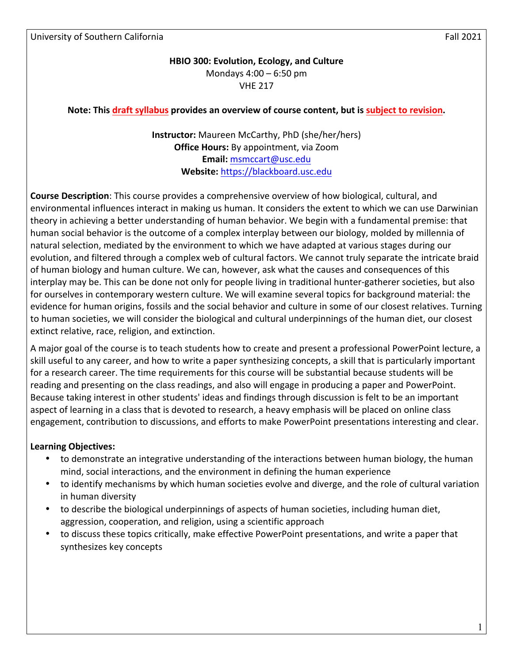University of Southern California Fall 2021

# **HBIO 300: Evolution, Ecology, and Culture** Mondays  $4:00 - 6:50$  pm **VHF 217**

# **Note:** This **draft** syllabus provides an overview of course content, but is subject to revision.

**Instructor:** Maureen McCarthy, PhD (she/her/hers) **Office Hours:** By appointment, via Zoom **Email:** msmccart@usc.edu **Website:** https://blackboard.usc.edu

**Course Description**: This course provides a comprehensive overview of how biological, cultural, and environmental influences interact in making us human. It considers the extent to which we can use Darwinian theory in achieving a better understanding of human behavior. We begin with a fundamental premise: that human social behavior is the outcome of a complex interplay between our biology, molded by millennia of natural selection, mediated by the environment to which we have adapted at various stages during our evolution, and filtered through a complex web of cultural factors. We cannot truly separate the intricate braid of human biology and human culture. We can, however, ask what the causes and consequences of this interplay may be. This can be done not only for people living in traditional hunter-gatherer societies, but also for ourselves in contemporary western culture. We will examine several topics for background material: the evidence for human origins, fossils and the social behavior and culture in some of our closest relatives. Turning to human societies, we will consider the biological and cultural underpinnings of the human diet, our closest extinct relative, race, religion, and extinction.

A major goal of the course is to teach students how to create and present a professional PowerPoint lecture, a skill useful to any career, and how to write a paper synthesizing concepts, a skill that is particularly important for a research career. The time requirements for this course will be substantial because students will be reading and presenting on the class readings, and also will engage in producing a paper and PowerPoint. Because taking interest in other students' ideas and findings through discussion is felt to be an important aspect of learning in a class that is devoted to research, a heavy emphasis will be placed on online class engagement, contribution to discussions, and efforts to make PowerPoint presentations interesting and clear.

#### **Learning Objectives:**

- to demonstrate an integrative understanding of the interactions between human biology, the human mind, social interactions, and the environment in defining the human experience
- to identify mechanisms by which human societies evolve and diverge, and the role of cultural variation in human diversity
- to describe the biological underpinnings of aspects of human societies, including human diet, aggression, cooperation, and religion, using a scientific approach
- to discuss these topics critically, make effective PowerPoint presentations, and write a paper that synthesizes key concepts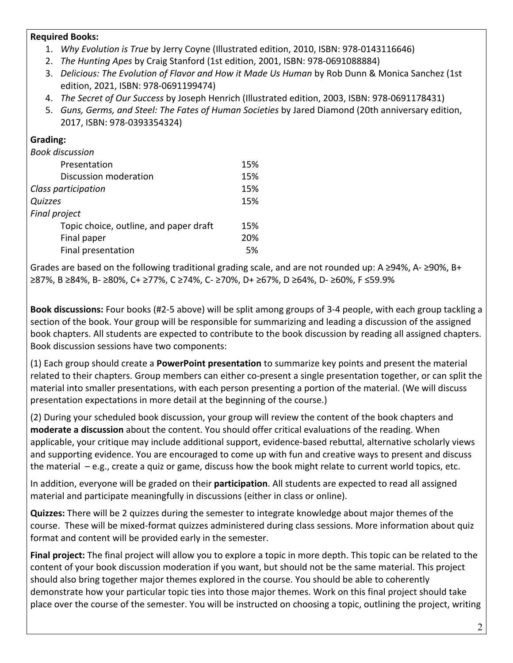## **Required Books:**

- 1. *Why Evolution is True* by Jerry Coyne (Illustrated edition, 2010, ISBN: 978-0143116646)
- 2. *The Hunting Apes by Craig Stanford (1st edition, 2001, ISBN: 978-0691088884)*
- 3. *Delicious: The Evolution of Flavor and How it Made Us Human* by Rob Dunn & Monica Sanchez (1st edition, 2021, ISBN: 978-0691199474)
- 4. *The Secret of Our Success* by Joseph Henrich (Illustrated edition, 2003, ISBN: 978-0691178431)
- 5. *Guns, Germs, and Steel: The Fates of Human Societies* by Jared Diamond (20th anniversary edition, 2017, ISBN: 978-0393354324)

# **Grading:**

|  | <b>Book discussion</b> |  |
|--|------------------------|--|
|--|------------------------|--|

| Presentation                           | 15% |
|----------------------------------------|-----|
| Discussion moderation                  | 15% |
| Class participation                    | 15% |
| Quizzes                                | 15% |
| <b>Final project</b>                   |     |
| Topic choice, outline, and paper draft | 15% |
| Final paper                            | 20% |
| Final presentation                     | .5% |
|                                        |     |

Grades are based on the following traditional grading scale, and are not rounded up: A  $\geq$ 94%, A- $\geq$ 90%, B+ ≥87%, B ≥84%, B- ≥80%, C+ ≥77%, C ≥74%, C- ≥70%, D+ ≥67%, D ≥64%, D- ≥60%, F ≤59.9%

**Book discussions:** Four books (#2-5 above) will be split among groups of 3-4 people, with each group tackling a section of the book. Your group will be responsible for summarizing and leading a discussion of the assigned book chapters. All students are expected to contribute to the book discussion by reading all assigned chapters. Book discussion sessions have two components:

(1) Each group should create a **PowerPoint presentation** to summarize key points and present the material related to their chapters. Group members can either co-present a single presentation together, or can split the material into smaller presentations, with each person presenting a portion of the material. (We will discuss presentation expectations in more detail at the beginning of the course.)

(2) During your scheduled book discussion, your group will review the content of the book chapters and **moderate a discussion** about the content. You should offer critical evaluations of the reading. When applicable, your critique may include additional support, evidence-based rebuttal, alternative scholarly views and supporting evidence. You are encouraged to come up with fun and creative ways to present and discuss the material  $-$  e.g., create a quiz or game, discuss how the book might relate to current world topics, etc.

In addition, everyone will be graded on their **participation**. All students are expected to read all assigned material and participate meaningfully in discussions (either in class or online).

**Quizzes:** There will be 2 quizzes during the semester to integrate knowledge about major themes of the course. These will be mixed-format quizzes administered during class sessions. More information about quiz format and content will be provided early in the semester.

**Final project:** The final project will allow you to explore a topic in more depth. This topic can be related to the content of your book discussion moderation if you want, but should not be the same material. This project should also bring together major themes explored in the course. You should be able to coherently demonstrate how your particular topic ties into those major themes. Work on this final project should take place over the course of the semester. You will be instructed on choosing a topic, outlining the project, writing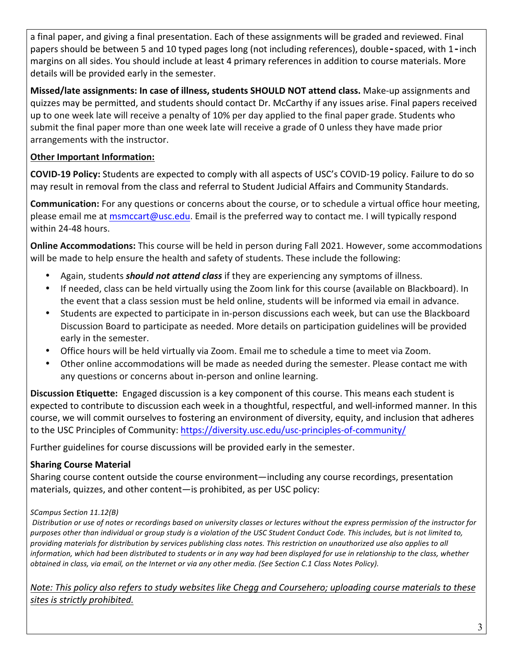a final paper, and giving a final presentation. Each of these assignments will be graded and reviewed. Final papers should be between 5 and 10 typed pages long (not including references), double**‑**spaced, with 1**‑**inch margins on all sides. You should include at least 4 primary references in addition to course materials. More details will be provided early in the semester.

**Missed/late assignments: In case of illness, students SHOULD NOT attend class.** Make-up assignments and quizzes may be permitted, and students should contact Dr. McCarthy if any issues arise. Final papers received up to one week late will receive a penalty of 10% per day applied to the final paper grade. Students who submit the final paper more than one week late will receive a grade of 0 unless they have made prior arrangements with the instructor.

# **Other Important Information:**

**COVID-19 Policy:** Students are expected to comply with all aspects of USC's COVID-19 policy. Failure to do so may result in removal from the class and referral to Student Judicial Affairs and Community Standards.

**Communication:** For any questions or concerns about the course, or to schedule a virtual office hour meeting, please email me at msmccart@usc.edu. Email is the preferred way to contact me. I will typically respond within 24-48 hours.

**Online Accommodations:** This course will be held in person during Fall 2021. However, some accommodations will be made to help ensure the health and safety of students. These include the following:

- Again, students **should not attend class** if they are experiencing any symptoms of illness.
- If needed, class can be held virtually using the Zoom link for this course (available on Blackboard). In the event that a class session must be held online, students will be informed via email in advance.
- Students are expected to participate in in-person discussions each week, but can use the Blackboard Discussion Board to participate as needed. More details on participation guidelines will be provided early in the semester.
- Office hours will be held virtually via Zoom. Email me to schedule a time to meet via Zoom.
- Other online accommodations will be made as needed during the semester. Please contact me with any questions or concerns about in-person and online learning.

**Discussion Etiquette:** Engaged discussion is a key component of this course. This means each student is expected to contribute to discussion each week in a thoughtful, respectful, and well-informed manner. In this course, we will commit ourselves to fostering an environment of diversity, equity, and inclusion that adheres to the USC Principles of Community: https://diversity.usc.edu/usc-principles-of-community/

Further guidelines for course discussions will be provided early in the semester.

# **Sharing Course Material**

Sharing course content outside the course environment—including any course recordings, presentation materials, quizzes, and other content—is prohibited, as per USC policy:

# *SCampus Section 11.12(B)*

Distribution or use of notes or recordings based on university classes or lectures without the express permission of the instructor for purposes other than individual or group study is a violation of the USC Student Conduct Code. This includes, but is not limited to, providing materials for distribution by services publishing class notes. This restriction on unauthorized use also applies to all *information, which had been distributed to students or in any way had been displayed for use in relationship to the class, whether obtained in class, via email, on the Internet or via any other media. (See Section C.1 Class Notes Policy).* 

*Note:* This policy also refers to study websites like Chegg and Coursehero; uploading course materials to these sites is strictly prohibited.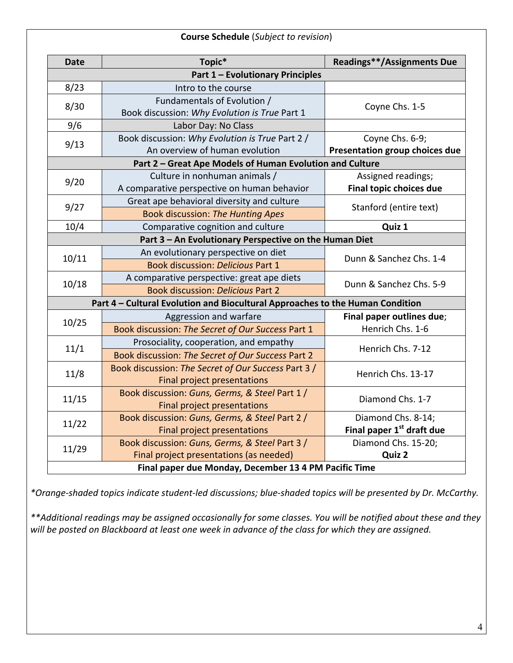| <b>Course Schedule</b> (Subject to revision)                                  |                                                     |                                       |  |
|-------------------------------------------------------------------------------|-----------------------------------------------------|---------------------------------------|--|
| <b>Date</b>                                                                   | Topic*                                              | <b>Readings**/Assignments Due</b>     |  |
| <b>Part 1 - Evolutionary Principles</b>                                       |                                                     |                                       |  |
| 8/23                                                                          | Intro to the course                                 |                                       |  |
| 8/30                                                                          | Fundamentals of Evolution /                         | Coyne Chs. 1-5                        |  |
|                                                                               | Book discussion: Why Evolution is True Part 1       |                                       |  |
| 9/6                                                                           | Labor Day: No Class                                 |                                       |  |
| 9/13                                                                          | Book discussion: Why Evolution is True Part 2 /     | Coyne Chs. 6-9;                       |  |
|                                                                               | An overview of human evolution                      | Presentation group choices due        |  |
| Part 2 - Great Ape Models of Human Evolution and Culture                      |                                                     |                                       |  |
| 9/20                                                                          | Culture in nonhuman animals /                       | Assigned readings;                    |  |
|                                                                               | A comparative perspective on human behavior         | Final topic choices due               |  |
| 9/27                                                                          | Great ape behavioral diversity and culture          | Stanford (entire text)                |  |
|                                                                               | <b>Book discussion: The Hunting Apes</b>            |                                       |  |
| 10/4                                                                          | Comparative cognition and culture                   | Quiz 1                                |  |
| Part 3 - An Evolutionary Perspective on the Human Diet                        |                                                     |                                       |  |
| 10/11                                                                         | An evolutionary perspective on diet                 | Dunn & Sanchez Chs. 1-4               |  |
|                                                                               | <b>Book discussion: Delicious Part 1</b>            |                                       |  |
| 10/18                                                                         | A comparative perspective: great ape diets          | Dunn & Sanchez Chs. 5-9               |  |
|                                                                               | <b>Book discussion: Delicious Part 2</b>            |                                       |  |
| Part 4 - Cultural Evolution and Biocultural Approaches to the Human Condition |                                                     |                                       |  |
| 10/25                                                                         | Aggression and warfare                              | Final paper outlines due;             |  |
|                                                                               | Book discussion: The Secret of Our Success Part 1   | Henrich Chs. 1-6                      |  |
| 11/1                                                                          | Prosociality, cooperation, and empathy              | Henrich Chs. 7-12                     |  |
|                                                                               | Book discussion: The Secret of Our Success Part 2   |                                       |  |
|                                                                               | Book discussion: The Secret of Our Success Part 3 / | Henrich Chs. 13-17                    |  |
| 11/8                                                                          | Final project presentations                         |                                       |  |
| 11/15                                                                         | Book discussion: Guns, Germs, & Steel Part 1 /      | Diamond Chs. 1-7                      |  |
|                                                                               | <b>Final project presentations</b>                  |                                       |  |
| 11/22                                                                         | Book discussion: Guns, Germs, & Steel Part 2 /      | Diamond Chs. 8-14;                    |  |
|                                                                               | <b>Final project presentations</b>                  | Final paper 1 <sup>st</sup> draft due |  |
| 11/29                                                                         | Book discussion: Guns, Germs, & Steel Part 3 /      | Diamond Chs. 15-20;                   |  |
|                                                                               | Final project presentations (as needed)             | Quiz 2                                |  |
| Final paper due Monday, December 13 4 PM Pacific Time                         |                                                     |                                       |  |

*\*Orange-shaded topics indicate student-led discussions; blue-shaded topics will be presented by Dr. McCarthy.*

\*\*Additional readings may be assigned occasionally for some classes. You will be notified about these and they will be posted on Blackboard at least one week in advance of the class for which they are assigned.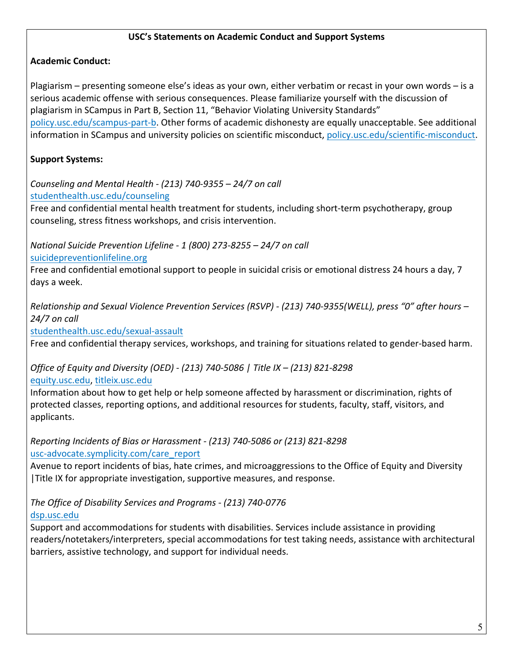#### **USC's Statements on Academic Conduct and Support Systems**

# **Academic Conduct:**

Plagiarism – presenting someone else's ideas as your own, either verbatim or recast in your own words – is a serious academic offense with serious consequences. Please familiarize yourself with the discussion of plagiarism in SCampus in Part B, Section 11, "Behavior Violating University Standards" policy.usc.edu/scampus-part-b. Other forms of academic dishonesty are equally unacceptable. See additional information in SCampus and university policies on scientific misconduct, policy.usc.edu/scientific-misconduct.

# **Support Systems:**

*Counseling and Mental Health - (213) 740-9355 – 24/7 on call* studenthealth.usc.edu/counseling

Free and confidential mental health treatment for students, including short-term psychotherapy, group counseling, stress fitness workshops, and crisis intervention.

*National Suicide Prevention Lifeline - 1 (800) 273-8255 – 24/7 on call* suicidepreventionlifeline.org

Free and confidential emotional support to people in suicidal crisis or emotional distress 24 hours a day, 7 days a week.

*Relationship and Sexual Violence Prevention Services (RSVP) - (213) 740-9355(WELL), press "0" after hours – 24/7 on call*

studenthealth.usc.edu/sexual-assault

Free and confidential therapy services, workshops, and training for situations related to gender-based harm.

# *Office of Equity and Diversity (OED) - (213) 740-5086 | Title IX – (213) 821-8298*

equity.usc.edu, titleix.usc.edu

Information about how to get help or help someone affected by harassment or discrimination, rights of protected classes, reporting options, and additional resources for students, faculty, staff, visitors, and applicants. 

#### *Reporting Incidents of Bias or Harassment - (213) 740-5086 or (213) 821-8298* usc-advocate.symplicity.com/care\_report

Avenue to report incidents of bias, hate crimes, and microaggressions to the Office of Equity and Diversity | Title IX for appropriate investigation, supportive measures, and response.

# *The Office of Disability Services and Programs - (213) 740-0776*

dsp.usc.edu

Support and accommodations for students with disabilities. Services include assistance in providing readers/notetakers/interpreters, special accommodations for test taking needs, assistance with architectural barriers, assistive technology, and support for individual needs.